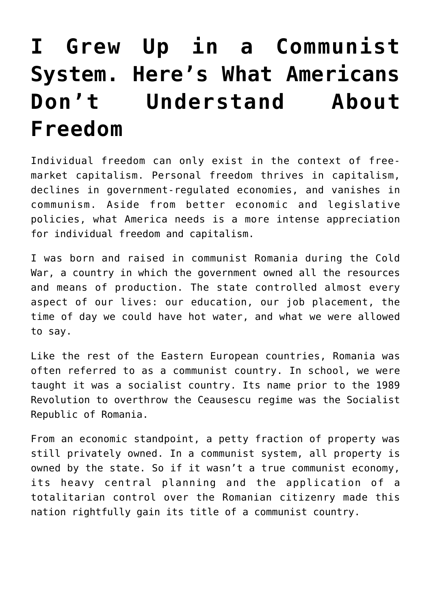# **[I Grew Up in a Communist](https://intellectualtakeout.org/2018/03/i-grew-up-in-a-communist-system-heres-what-americans-dont-understand-about-freedom/) [System. Here's What Americans](https://intellectualtakeout.org/2018/03/i-grew-up-in-a-communist-system-heres-what-americans-dont-understand-about-freedom/) [Don't Understand About](https://intellectualtakeout.org/2018/03/i-grew-up-in-a-communist-system-heres-what-americans-dont-understand-about-freedom/) [Freedom](https://intellectualtakeout.org/2018/03/i-grew-up-in-a-communist-system-heres-what-americans-dont-understand-about-freedom/)**

Individual freedom can only exist in the context of freemarket capitalism. Personal freedom thrives in capitalism, declines in government-regulated economies, and vanishes in communism. Aside from better economic and legislative policies, what America needs is a more intense appreciation for individual freedom and capitalism.

I was born and raised in communist Romania during the Cold War, a country in which the government owned all the resources and means of production. The state controlled almost every aspect of our lives: our education, our job placement, the time of day we could have hot water, and what we were allowed to say.

Like the rest of the Eastern European countries, Romania was often referred to as a communist country. In school, we were taught it was a socialist country. Its name prior to the 1989 Revolution to overthrow the Ceausescu regime was the Socialist Republic of Romania.

From an economic standpoint, a petty fraction of property was still privately owned. In a communist system, all property is owned by the state. So if it wasn't a true communist economy, its heavy central planning and the application of a totalitarian control over the Romanian citizenry made this nation rightfully gain its title of a communist country.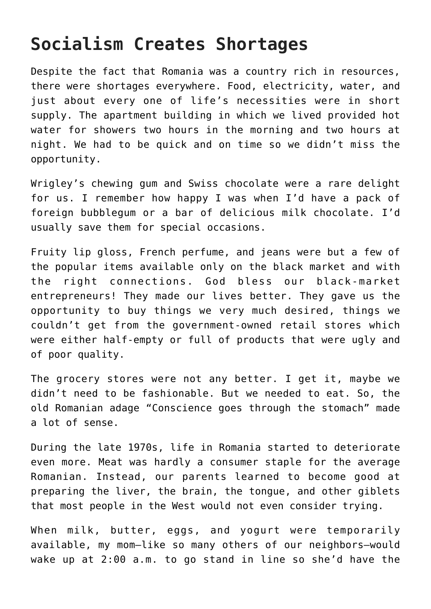### **Socialism Creates Shortages**

Despite the fact that Romania was a country rich in resources, there were shortages everywhere. Food, electricity, water, and just about every one of life's necessities were in short supply. The apartment building in which we lived provided hot water for showers two hours in the morning and two hours at night. We had to be quick and on time so we didn't miss the opportunity.

Wrigley's chewing gum and Swiss chocolate were a rare delight for us. I remember how happy I was when I'd have a pack of foreign bubblegum or a bar of delicious milk chocolate. I'd usually save them for special occasions.

Fruity lip gloss, French perfume, and jeans were but a few of the popular items available only on the black market and with the right connections. God bless our black-market entrepreneurs! They made our lives better. They gave us the opportunity to buy things we very much desired, things we couldn't get from the government-owned retail stores which were either half-empty or full of products that were ugly and of poor quality.

The grocery stores were not any better. I get it, maybe we didn't need to be fashionable. But we needed to eat. So, the old Romanian adage "Conscience goes through the stomach" made a lot of sense.

During the late 1970s, life in Romania started to deteriorate even more. Meat was hardly a consumer staple for the average Romanian. Instead, our parents learned to become good at preparing the liver, the brain, the tongue, and other giblets that most people in the West would not even consider trying.

When milk, butter, eggs, and yogurt were temporarily available, my mom—like so many others of our neighbors—would wake up at 2:00 a.m. to go stand in line so she'd have the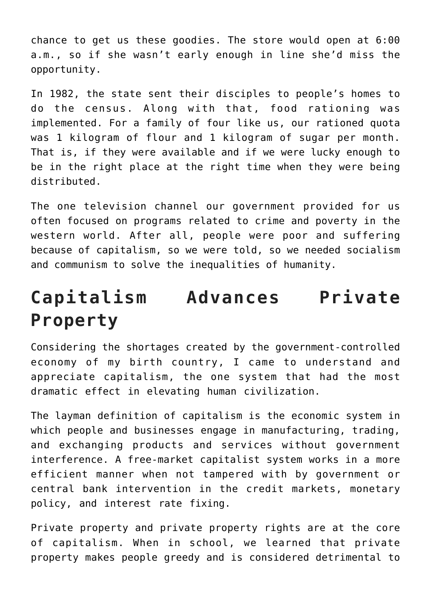chance to get us these goodies. The store would open at 6:00 a.m., so if she wasn't early enough in line she'd miss the opportunity.

In 1982, the state sent their disciples to people's homes to do the census. Along with that, food rationing was implemented. For a family of four like us, our rationed quota was 1 kilogram of flour and 1 kilogram of sugar per month. That is, if they were available and if we were lucky enough to be in the right place at the right time when they were being distributed.

The one television channel our government provided for us often focused on programs related to crime and poverty in the western world. After all, people were poor and suffering because of capitalism, so we were told, so we needed socialism and communism to solve the inequalities of humanity.

## **Capitalism Advances Private Property**

Considering the shortages created by the government-controlled economy of my birth country, I came to understand and appreciate capitalism, the one system that had the most dramatic effect in elevating human civilization.

The layman definition of capitalism is the economic system in which people and businesses engage in manufacturing, trading, and exchanging products and services without government interference. A free-market capitalist system works in a more efficient manner when not tampered with by government or central bank intervention in the credit markets, monetary policy, and interest rate fixing.

Private property and private property rights are at the core of capitalism. When in school, we learned that private property makes people greedy and is considered detrimental to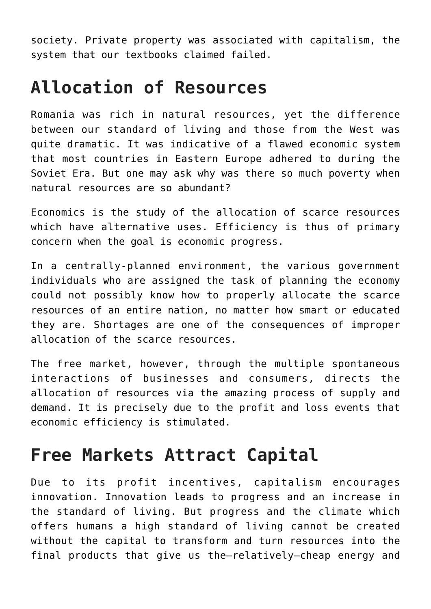society. Private property was associated with capitalism, the system that our textbooks claimed failed.

#### **Allocation of Resources**

Romania was rich in natural resources, yet the difference between our standard of living and those from the West was quite dramatic. It was indicative of a flawed economic system that most countries in Eastern Europe adhered to during the Soviet Era. But one may ask why was there so much poverty when natural resources are so abundant?

Economics is the study of the allocation of scarce resources which have alternative uses. Efficiency is thus of primary concern when the goal is economic progress.

In a centrally-planned environment, the various government individuals who are assigned the task of planning the economy could not possibly know how to properly allocate the scarce resources of an entire nation, no matter how smart or educated they are. Shortages are one of the consequences of improper allocation of the scarce resources.

The free market, however, through the multiple spontaneous interactions of businesses and consumers, directs the allocation of resources via the amazing process of supply and demand. It is precisely due to the profit and loss events that economic efficiency is stimulated.

#### **Free Markets Attract Capital**

Due to its profit incentives, capitalism encourages innovation. Innovation leads to progress and an increase in the standard of living. But progress and the climate which offers humans a high standard of living cannot be created without the capital to transform and turn resources into the final products that give us the—relatively—cheap energy and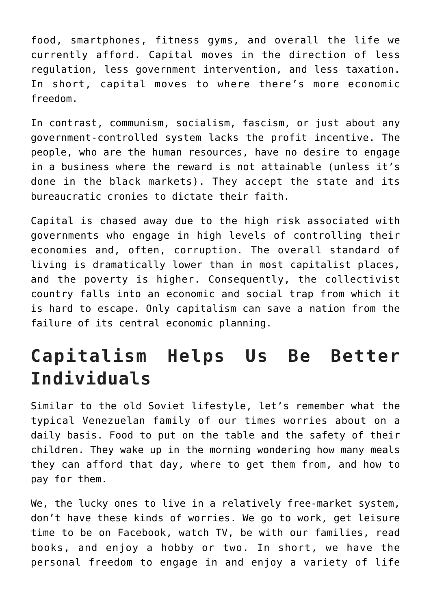food, smartphones, fitness gyms, and overall the life we currently afford. Capital moves in the direction of less regulation, less government intervention, and less taxation. In short, capital moves to where there's more economic freedom.

In contrast, communism, socialism, fascism, or just about any government-controlled system lacks the profit incentive. The people, who are the human resources, have no desire to engage in a business where the reward is not attainable (unless it's done in the black markets). They accept the state and its bureaucratic cronies to dictate their faith.

Capital is chased away due to the high risk associated with governments who engage in high levels of controlling their economies and, often, corruption. The overall standard of living is dramatically lower than in most capitalist places, and the poverty is higher. Consequently, the collectivist country falls into an economic and social trap from which it is hard to escape. Only capitalism can save a nation from the failure of its central economic planning.

## **Capitalism Helps Us Be Better Individuals**

Similar to the old Soviet lifestyle, let's remember what the typical Venezuelan family of our times worries about on a daily basis. Food to put on the table and the safety of their children. They wake up in the morning wondering how many meals they can afford that day, where to get them from, and how to pay for them.

We, the lucky ones to live in a relatively free-market system, don't have these kinds of worries. We go to work, get leisure time to be on Facebook, watch TV, be with our families, read books, and enjoy a hobby or two. In short, we have the personal freedom to engage in and enjoy a variety of life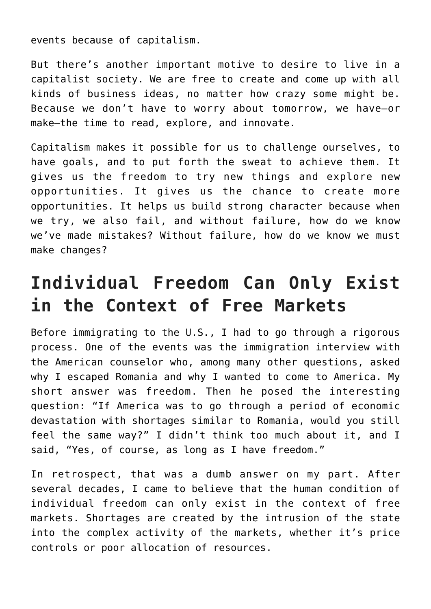events because of capitalism.

But there's another important motive to desire to live in a capitalist society. We are free to create and come up with all kinds of business ideas, no matter how crazy some might be. Because we don't have to worry about tomorrow, we have—or make—the time to read, explore, and innovate.

Capitalism makes it possible for us to challenge ourselves, to have goals, and to put forth the sweat to achieve them. It gives us the freedom to try new things and explore new opportunities. It gives us the chance to create more opportunities. It helps us build strong character because when we try, we also fail, and without failure, how do we know we've made mistakes? Without failure, how do we know we must make changes?

## **Individual Freedom Can Only Exist in the Context of Free Markets**

Before immigrating to the U.S., I had to go through a rigorous process. One of the events was the immigration interview with the American counselor who, among many other questions, asked why I escaped Romania and why I wanted to come to America. My short answer was freedom. Then he posed the interesting question: "If America was to go through a period of economic devastation with shortages similar to Romania, would you still feel the same way?" I didn't think too much about it, and I said, "Yes, of course, as long as I have freedom."

In retrospect, that was a dumb answer on my part. After several decades, I came to believe that the human condition of individual freedom can only exist in the context of free markets. Shortages are created by the intrusion of the state into the complex activity of the markets, whether it's price controls or poor allocation of resources.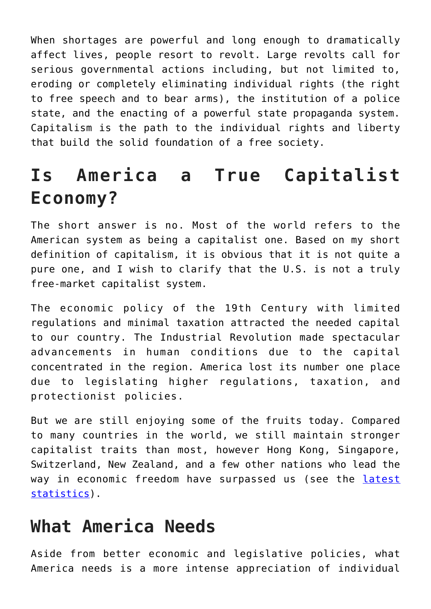When shortages are powerful and long enough to dramatically affect lives, people resort to revolt. Large revolts call for serious governmental actions including, but not limited to, eroding or completely eliminating individual rights (the right to free speech and to bear arms), the institution of a police state, and the enacting of a powerful state propaganda system. Capitalism is the path to the individual rights and liberty that build the solid foundation of a free society.

## **Is America a True Capitalist Economy?**

The short answer is no. Most of the world refers to the American system as being a capitalist one. Based on my short definition of capitalism, it is obvious that it is not quite a pure one, and I wish to clarify that the U.S. is not a truly free-market capitalist system.

The economic policy of the 19th Century with limited regulations and minimal taxation attracted the needed capital to our country. The Industrial Revolution made spectacular advancements in human conditions due to the capital concentrated in the region. America lost its number one place due to legislating higher regulations, taxation, and protectionist policies.

But we are still enjoying some of the fruits today. Compared to many countries in the world, we still maintain stronger capitalist traits than most, however Hong Kong, Singapore, Switzerland, New Zealand, and a few other nations who lead the way in economic freedom have surpassed us (see the [latest](https://www.fraserinstitute.org/economic-freedom/map?geozone=world&page=map&year=2015) [statistics\)](https://www.fraserinstitute.org/economic-freedom/map?geozone=world&page=map&year=2015).

#### **What America Needs**

Aside from better economic and legislative policies, what America needs is a more intense appreciation of individual